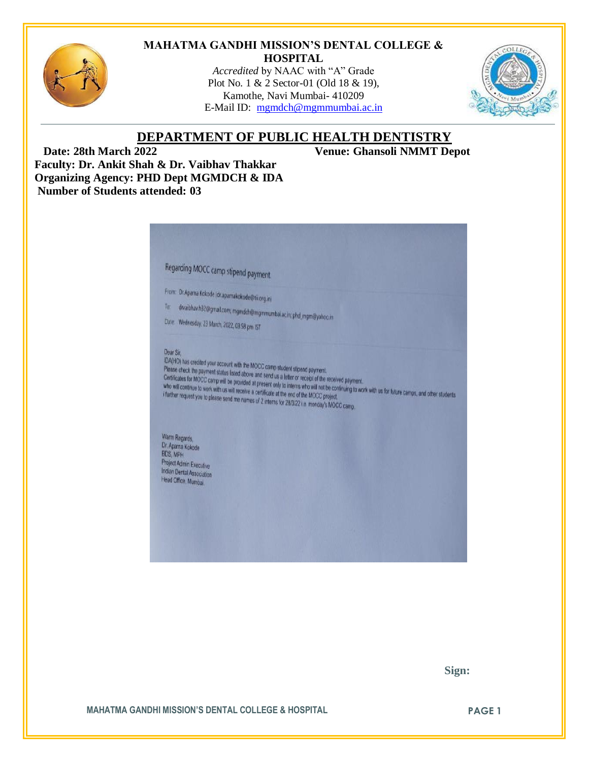

#### **MAHATMA GANDHI MISSION'S DENTAL COLLEGE & HOSPITAL**

*Accredited* by NAAC with "A" Grade Plot No. 1 & 2 Sector-01 (Old 18 & 19), Kamothe, Navi Mumbai- 410209 E-Mail ID: [mgmdch@mgmmumbai.ac.in](mailto:mgmdch@mgmmumbai.ac.in)



# **DEPARTMENT OF PUBLIC HEALTH DENTISTRY**

 **Date: 28th March 2022 Venue: Ghansoli NMMT Depot Faculty: Dr. Ankit Shah & Dr. Vaibhav Thakkar Organizing Agency: PHD Dept MGMDCH & IDA Number of Students attended: 03**



 **Sign:**

**MAHATMA GANDHI MISSION'S DENTAL COLLEGE & HOSPITAL PAGE 1**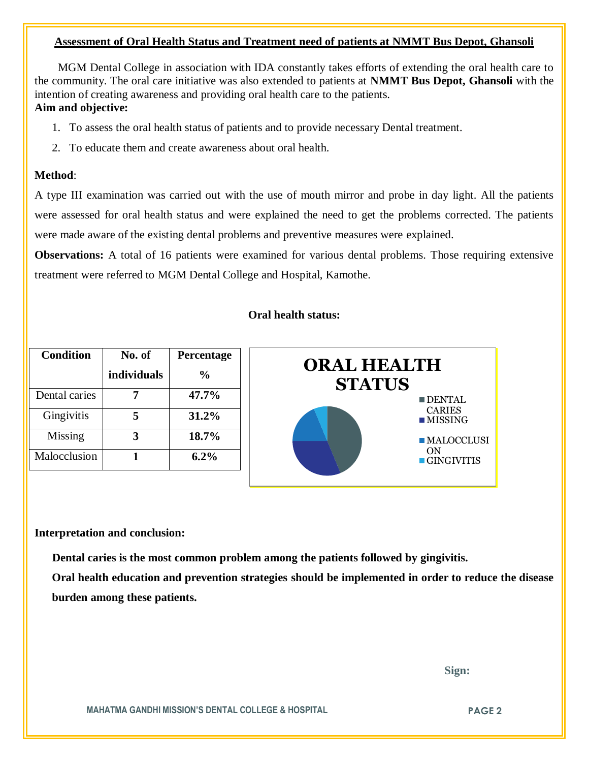### **Assessment of Oral Health Status and Treatment need of patients at NMMT Bus Depot, Ghansoli**

 MGM Dental College in association with IDA constantly takes efforts of extending the oral health care to the community. The oral care initiative was also extended to patients at **NMMT Bus Depot, Ghansoli** with the intention of creating awareness and providing oral health care to the patients.

## **Aim and objective:**

- 1. To assess the oral health status of patients and to provide necessary Dental treatment.
- 2. To educate them and create awareness about oral health.

### **Method**:

A type III examination was carried out with the use of mouth mirror and probe in day light. All the patients were assessed for oral health status and were explained the need to get the problems corrected. The patients were made aware of the existing dental problems and preventive measures were explained.

**Observations:** A total of 16 patients were examined for various dental problems. Those requiring extensive treatment were referred to MGM Dental College and Hospital, Kamothe.

#### **Oral health status:**



#### **Interpretation and conclusion:**

 **Dental caries is the most common problem among the patients followed by gingivitis.**

**Oral health education and prevention strategies should be implemented in order to reduce the disease burden among these patients.**

 **Sign:**

**MAHATMA GANDHI MISSION'S DENTAL COLLEGE & HOSPITAL PAGE 2**